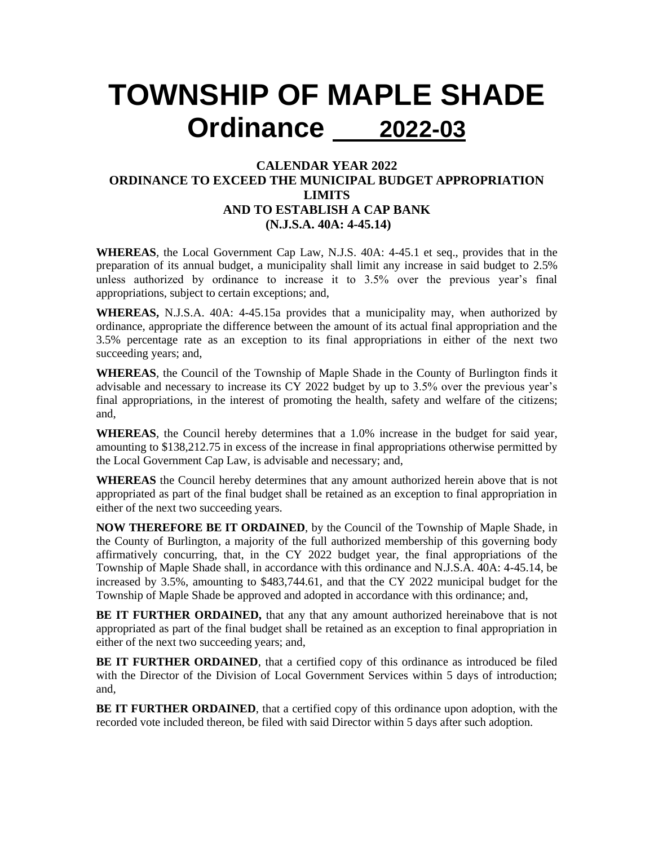## **TOWNSHIP OF MAPLE SHADE Ordinance 2022-03**

## **CALENDAR YEAR 2022 ORDINANCE TO EXCEED THE MUNICIPAL BUDGET APPROPRIATION LIMITS AND TO ESTABLISH A CAP BANK (N.J.S.A. 40A: 4-45.14)**

**WHEREAS**, the Local Government Cap Law, N.J.S. 40A: 4-45.1 et seq., provides that in the preparation of its annual budget, a municipality shall limit any increase in said budget to 2.5% unless authorized by ordinance to increase it to 3.5% over the previous year's final appropriations, subject to certain exceptions; and,

**WHEREAS,** N.J.S.A. 40A: 4-45.15a provides that a municipality may, when authorized by ordinance, appropriate the difference between the amount of its actual final appropriation and the 3.5% percentage rate as an exception to its final appropriations in either of the next two succeeding years; and,

**WHEREAS**, the Council of the Township of Maple Shade in the County of Burlington finds it advisable and necessary to increase its CY 2022 budget by up to 3.5% over the previous year's final appropriations, in the interest of promoting the health, safety and welfare of the citizens; and,

**WHEREAS**, the Council hereby determines that a 1.0% increase in the budget for said year, amounting to \$138,212.75 in excess of the increase in final appropriations otherwise permitted by the Local Government Cap Law, is advisable and necessary; and,

**WHEREAS** the Council hereby determines that any amount authorized herein above that is not appropriated as part of the final budget shall be retained as an exception to final appropriation in either of the next two succeeding years.

**NOW THEREFORE BE IT ORDAINED**, by the Council of the Township of Maple Shade, in the County of Burlington, a majority of the full authorized membership of this governing body affirmatively concurring, that, in the CY 2022 budget year, the final appropriations of the Township of Maple Shade shall, in accordance with this ordinance and N.J.S.A. 40A: 4-45.14, be increased by 3.5%, amounting to \$483,744.61, and that the CY 2022 municipal budget for the Township of Maple Shade be approved and adopted in accordance with this ordinance; and,

**BE IT FURTHER ORDAINED,** that any that any amount authorized hereinabove that is not appropriated as part of the final budget shall be retained as an exception to final appropriation in either of the next two succeeding years; and,

**BE IT FURTHER ORDAINED**, that a certified copy of this ordinance as introduced be filed with the Director of the Division of Local Government Services within 5 days of introduction; and,

**BE IT FURTHER ORDAINED**, that a certified copy of this ordinance upon adoption, with the recorded vote included thereon, be filed with said Director within 5 days after such adoption.